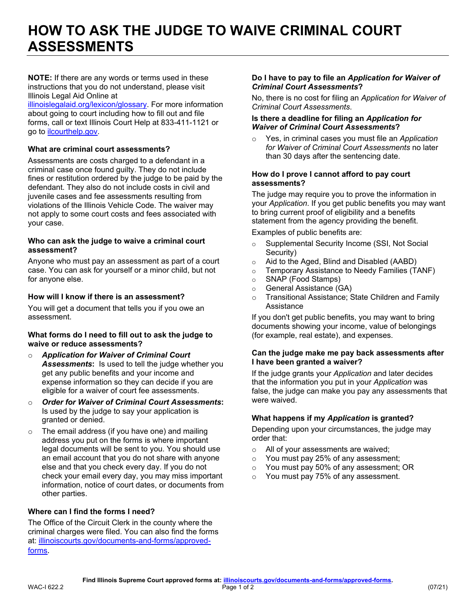# **HOW TO ASK THE JUDGE TO WAIVE CRIMINAL COURT ASSESSMENTS**

 **NOTE:** If there are any words or terms used in these instructions that you do not understand, please visit Illinois Legal Aid Online at

 [illinoislegalaid.org/lexicon/glossary.](https://www.illinoislegalaid.org/lexicon/glossary) For more information about going to court including how to fill out and file forms, call or text Illinois Court Help at 833-411-1121 or go to [ilcourthelp.gov.](https://www.ilcourthelp.gov/hc/en-us)

# **What are criminal court assessments?**

 Assessments are costs charged to a defendant in a criminal case once found guilty. They do not include fines or restitution ordered by the judge to be paid by the defendant. They also do not include costs in civil and violations of the Illinois Vehicle Code. The waiver may not apply to some court costs and fees associated with juvenile cases and fee assessments resulting from your case.

#### **Who can ask the judge to waive a criminal court assessment?**

 Anyone who must pay an assessment as part of a court case. You can ask for yourself or a minor child, but not for anyone else.

# **How will I know if there is an assessment?**

 You will get a document that tells you if you owe an assessment.

#### **What forms do I need to fill out to ask the judge to waive or reduce assessments?**

- o *Application for Waiver of Criminal Court Assessments***:** Is used to tell the judge whether you get any public benefits and your income and eligible for a waiver of court fee assessments. expense information so they can decide if you are
- o *Order for Waiver of Criminal Court Assessments***:**  Is used by the judge to say your application is granted or denied.
- $\circ$  The email address (if you have one) and mailing address you put on the forms is where important legal documents will be sent to you. You should use an email account that you do not share with anyone else and that you check every day. If you do not check your email every day, you may miss important information, notice of court dates, or documents from other parties.

# **Where can I find the forms I need?**

 The Office of the Circuit Clerk in the county where the criminal charges were filed. You can also find the forms at: [illinoiscourts.gov/documents-and-forms/approved](https://www.illinoiscourts.gov/documents-and-forms/approved-forms/)[forms](https://www.illinoiscourts.gov/documents-and-forms/approved-forms/).

#### **Do I have to pay to file an** *Application for Waiver of Criminal Court Assessments***?**

 No, there is no cost for filing an *Application for Waiver of Criminal Court Assessments*.

#### **Is there a deadline for filing an** *Application for Waiver of Criminal Court Assessments***?**

 o Yes, in criminal cases you must file an *Application for Waiver of Criminal Court Assessments* no later than 30 days after the sentencing date.

#### **How do I prove I cannot afford to pay court assessments?**

 your *Application*. If you get public benefits you may want to bring current proof of eligibility and a benefits statement from the agency providing the benefit. The judge may require you to prove the information in

Examples of public benefits are:

- $\circ$  Supplemental Security Income (SSI, Not Social Security)
- o Aid to the Aged, Blind and Disabled (AABD)
- $\circ$  Temporary Assistance to Needy Families (TANF)
- o SNAP (Food Stamps)
- o General Assistance (GA)
- o Transitional Assistance; State Children and Family **Assistance**

 If you don't get public benefits, you may want to bring documents showing your income, value of belongings (for example, real estate), and expenses.

#### **Can the judge make me pay back assessments after I have been granted a waiver?**

 If the judge grants your *Application* and later decides that the information you put in your *Application* was false, the judge can make you pay any assessments that were waived.

### **What happens if my** *Application* **is granted?**

Depending upon your circumstances, the judge may order that:

- o All of your assessments are waived;
- $\circ$  You must pay 25% of any assessment;
- $\circ$  You must pay 50% of any assessment; OR
- $\circ$  You must pay 75% of any assessment.